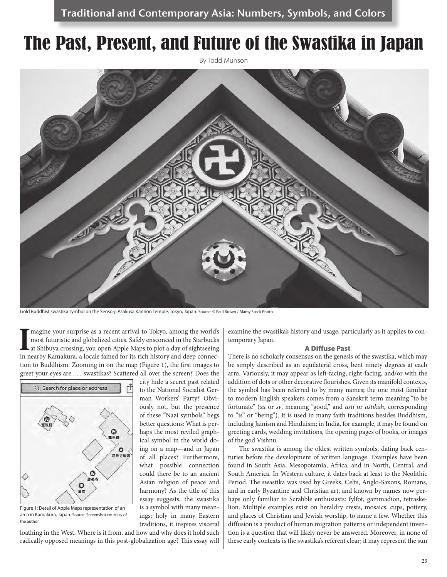# The Past, Present, and Future of the Swastika in Japan

By Todd Munson



Gold Buddhist swastika symbol on the Sensō-ji Asakusa Kannon Temple, Tokyo, Japan. Source: © Paul Brown / Alamy Stock Photo.

to the National Socialist German Workers' Party? Obviously not, but the presence of these "Nazi symbols" begs better questions: What is perhaps the most reviled graphical symbol in the world doing on a map—and in Japan of all places? Furthermore, what possible connection could there be to an ancient Asian religion of peace and harmony? As the title of this essay suggests, the swastika is a symbol with many meanings; holy in many Eastern traditions, it inspires visceral

Imagine your surprise as a recent arrival to Tokyo, among the world's most futuristic and globalized cities. Safely ensconced in the Starbucks at Shibuya crossing, you open Apple Maps to plot a day of sightseeing in nearby magine your surprise as a recent arrival to Tokyo, among the world's most futuristic and globalized cities. Safely ensconced in the Starbucks at Shibuya crossing, you open Apple Maps to plot a day of sightseeing tion to Buddhism. Zooming in on the map (Figure 1), the first images to greet your eyes are . . . swastikas? Scattered all over the screen? Does the city hide a secret past related



Figure 1: Detail of Apple Maps representation of an area in Kamakura, Japan. Source: Screenshot courtesy of the author.

loathing in the West. Where is it from, and how and why does it hold such radically opposed meanings in this post-globalization age? This essay will examine the swastika's history and usage, particularly as it applies to contemporary Japan.

### A Diffuse Past

There is no scholarly consensus on the genesis of the swastika, which may be simply described as an equilateral cross, bent ninety degrees at each arm. Variously, it may appear as left-facing, right-facing, and/or with the addition of dots or other decorative flourishes. Given its manifold contexts, the symbol has been referred to by many names; the one most familiar to modern English speakers comes from a Sanskrit term meaning "to be fortunate" (*su* or *sv*, meaning "good," and *asti* or *astikah*, corresponding to "is" or "being"). It is used in many faith traditions besides Buddhism, including Jainism and Hinduism; in India, for example, it may be found on greeting cards, wedding invitations, the opening pages of books, or images of the god Vishnu.

The swastika is among the oldest written symbols, dating back centuries before the development of written language. Examples have been found in South Asia, Mesopotamia, Africa, and in North, Central, and South America. In Western culture, it dates back at least to the Neolithic Period. The swastika was used by Greeks, Celts, Anglo-Saxons, Romans, and in early Byzantine and Christian art, and known by names now perhaps only familiar to Scrabble enthusiasts: fylfot, gammadion, tetraskelion. Multiple examples exist on heraldry crests, mosaics, cups, pottery, and places of Christian and Jewish worship, to name a few. Whether this diffusion is a product of human migration patterns or independent invention is a question that will likely never be answered. Moreover, in none of these early contexts is the swastika's referent clear; it may represent the sun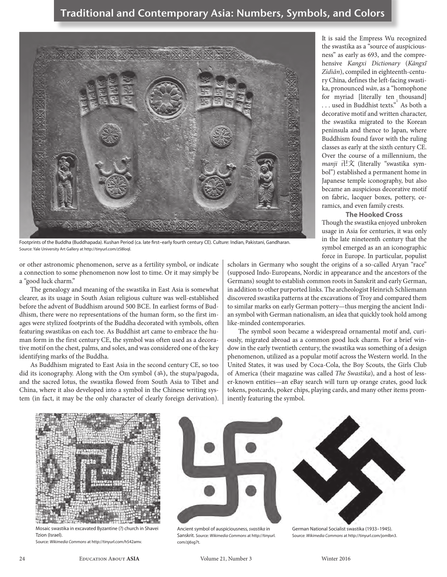

Footprints of the Buddha (Buddhapada). Kushan Period (ca. late first–early fourth century CE). Culture: Indian, Pakistani, Gandharan. Source: Yale University Art Gallery at http://tinyurl.com/z58loql.

or other astronomic phenomenon, serve as a fertility symbol, or indicate a connection to some phenomenon now lost to time. Or it may simply be a "good luck charm."

The genealogy and meaning of the swastika in East Asia is somewhat clearer, as its usage in South Asian religious culture was well-established before the advent of Buddhism around 500 BCE. In earliest forms of Buddhism, there were no representations of the human form, so the first images were stylized footprints of the Buddha decorated with symbols, often featuring swastikas on each toe. As Buddhist art came to embrace the human form in the first century CE, the symbol was often used as a decorative motif on the chest, palms, and soles, and was considered one of the key identifying marks of the Buddha.

As Buddhism migrated to East Asia in the second century CE, so too did its iconography. Along with the Om symbol (ॐ), the stupa/pagoda, and the sacred lotus, the swastika flowed from South Asia to Tibet and China, where it also developed into a symbol in the Chinese writing system (in fact, it may be the only character of clearly foreign derivation). It is said the Empress Wu recognized the swastika as a "source of auspiciousness" as early as 693, and the comprehensive *Kangxi Dictionary* (*Kāngxī Zìdiǎn*), compiled in eighteenth-century China, defines the left-facing swastika, pronounced *wàn*, as a "homophone for myriad [literally ten thousand]  $\dots$  used in Buddhist texts." As both a decorative motif and written character, the swastika migrated to the Korean peninsula and thence to Japan, where Buddhism found favor with the ruling classes as early at the sixth century CE. Over the course of a millennium, the *manji* 卍文 (literally "swastika symbol") established a permanent home in Japanese temple iconography, but also became an auspicious decorative motif on fabric, lacquer boxes, pottery, ceramics, and even family crests.

**The Hooked Cross**

Though the swastika enjoyed unbroken usage in Asia for centuries, it was only in the late nineteenth century that the symbol emerged as an an iconographic force in Europe. In particular, populist

scholars in Germany who sought the origins of a so-called Aryan "race" (supposed Indo-Europeans, Nordic in appearance and the ancestors of the Germans) sought to establish common roots in Sanskrit and early German, in addition to other purported links. The archeologist Heinrich Schliemann discovered swastika patterns at the excavations of Troy and compared them to similar marks on early German pottery—thus merging the ancient Indian symbol with German nationalism, an idea that quickly took hold among like-minded contemporaries.

The symbol soon became a widespread ornamental motif and, curiously, migrated abroad as a common good luck charm. For a brief window in the early twentieth century, the swastika was something of a design phenomenon, utilized as a popular motif across the Western world. In the United States, it was used by Coca-Cola, the Boy Scouts, the Girls Club of America (their magazine was called *The Swastika*), and a host of lesser-known entities—an eBay search will turn up orange crates, good luck tokens, postcards, poker chips, playing cards, and many other items prominently featuring the symbol.



Mosaic swastika in excavated Byzantine (?) church in Shavei Tzion (Israel).

Source: *Wikimedia Commons* at http://tinyurl.com/h542amv.



Ancient symbol of auspiciousness, *svastika* in Sanskrit. Source: *Wikimedia Commons* at http://tinyurl. com/zj6sg7t.



German National Socialist swastika (1933–1945). Source: *Wikimedia Commons* at http://tinyurl.com/jomlbn3.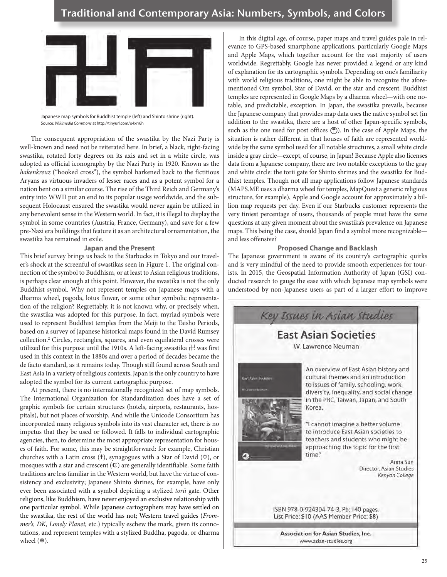# Traditional and Contemporary Asia: Numbers, Symbols, and Colors



Japanese map symbols for Buddhist temple (left) and Shinto shrine (right). Source: *Wikimedia Commons* at http://tinyurl.com/o4xrr6h

The consequent appropriation of the swastika by the Nazi Party is well-known and need not be reiterated here. In brief, a black, right-facing swastika, rotated forty degrees on its axis and set in a white circle, was adopted as official iconography by the Nazi Party in 1920. Known as the *hakenkreuz* ("hooked cross"), the symbol harkened back to the fictitious Aryans as virtuous invaders of lesser races and as a potent symbol for a nation bent on a similar course. The rise of the Third Reich and Germany's entry into WWII put an end to its popular usage worldwide, and the subsequent Holocaust ensured the swastika would never again be utilized in any benevolent sense in the Western world. In fact, it is illegal to display the symbol in some countries (Austria, France, Germany), and save for a few pre-Nazi era buildings that feature it as an architectural ornamentation, the swastika has remained in exile.

## **Japan and the Present**

This brief survey brings us back to the Starbucks in Tokyo and our traveler's shock at the screenful of swastikas seen in Figure 1. The original connection of the symbol to Buddhism, or at least to Asian religious traditions, is perhaps clear enough at this point. However, the swastika is not the only Buddhist symbol. Why not represent temples on Japanese maps with a dharma wheel, pagoda, lotus flower, or some other symbolic representation of the religion? Regrettably, it is not known why, or precisely when, the swastika was adopted for this purpose. In fact, myriad symbols were used to represent Buddhist temples from the Meiji to the Taisho Periods, based on a survey of Japanese historical maps found in the David Rumsey collection.2 Circles, rectangles, squares, and even equilateral crosses were utilized for this purpose until the 1910s. A left-facing swastika  $\pm$  was first used in this context in the 1880s and over a period of decades became the de facto standard, as it remains today. Though still found across South and East Asia in a variety of religious contexts, Japan is the only country to have adopted the symbol for its current cartographic purpose.

At present, there is no internationally recognized set of map symbols. The International Organization for Standardization does have a set of graphic symbols for certain structures (hotels, airports, restaurants, hospitals), but not places of worship. And while the Unicode Consortium has incorporated many religious symbols into its vast character set, there is no impetus that they be used or followed. It falls to individual cartographic agencies, then, to determine the most appropriate representation for houses of faith. For some, this may be straightforward: for example, Christian churches with a Latin cross (✝), synagogues with a Star of David (✡), or mosques with a star and crescent  $(C)$  are generally identifiable. Some faith traditions are less familiar in the Western world, but have the virtue of consistency and exclusivity; Japanese Shinto shrines, for example, have only ever been associated with a symbol depicting a stylized *torii* gate. Other religions, like Buddhism, have never enjoyed an exclusive relationship with one particular symbol. While Japanese cartographers may have settled on the swastika, the rest of the world has not; Western travel guides (*Frommer's, DK, Lonely Planet,* etc.) typically eschew the mark, given its connotations, and represent temples with a stylized Buddha, pagoda, or dharma wheel sup).

In this digital age, of course, paper maps and travel guides pale in relevance to GPS-based smartphone applications, particularly Google Maps and Apple Maps, which together account for the vast majority of users worldwide. Regrettably, Google has never provided a legend or any kind of explanation for its cartographic symbols. Depending on one's familiarity with world religious traditions, one might be able to recognize the aforementioned Om symbol, Star of David, or the star and crescent. Buddhist temples are represented in Google Maps by a dharma wheel—with one notable, and predictable, exception. In Japan, the swastika prevails, because the Japanese company that provides map data uses the native symbol set (in addition to the swastika, there are a host of other Japan-specific symbols, such as the one used for post offices  $\circled{1}$ ). In the case of Apple Maps, the situation is rather different in that houses of faith are represented worldwide by the same symbol used for all notable structures, a small white circle inside a gray circle—except, of course, in Japan! Because Apple also licenses data from a Japanese company, there are two notable exceptions to the gray and white circle: the torii gate for Shinto shrines and the swastika for Buddhist temples. Though not all map applications follow Japanese standards (MAPS.ME uses a dharma wheel for temples, MapQuest a generic religious structure, for example), Apple and Google account for approximately a billion map requests per day. Even if our Starbucks customer represents the very tiniest percentage of users, thousands of people must have the same questions at any given moment about the swastika's prevalence on Japanese maps. This being the case, should Japan find a symbol more recognizable and less offensive?

# **Proposed Change and Backlash**

The Japanese government is aware of its country's cartographic quirks and is very mindful of the need to provide smooth experiences for tourists. In 2015, the Geospatial Information Authority of Japan (GSI) conducted research to gauge the ease with which Japanese map symbols were understood by non-Japanese users as part of a larger effort to improve



Association for Asian Studies, Inc. www.asian-studies.org